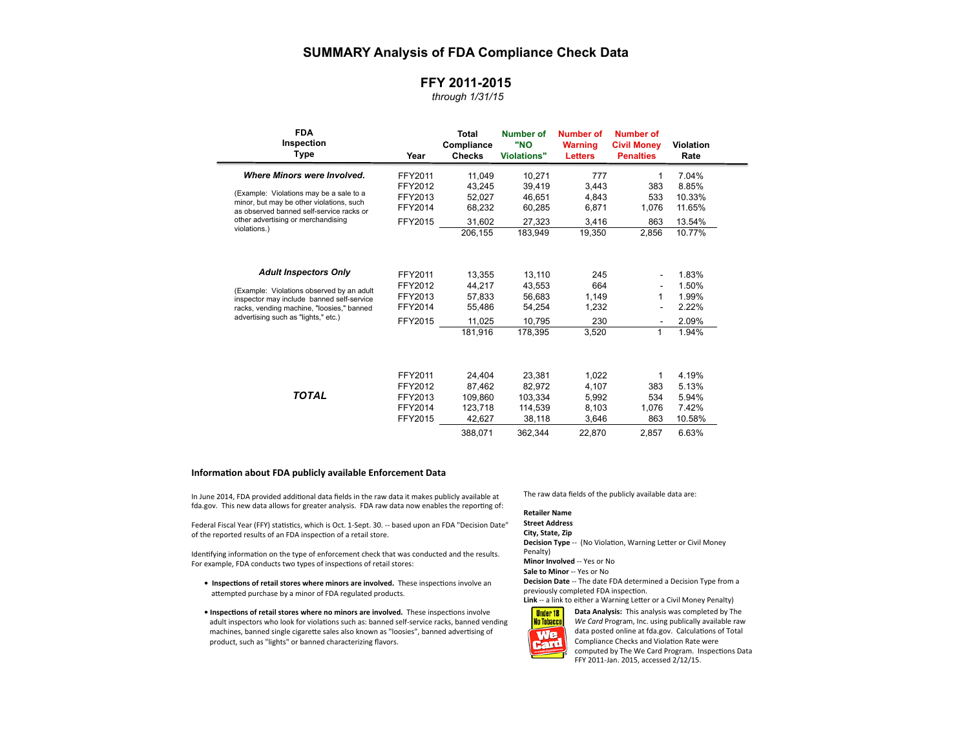# **SUMMARY Analysis of FDA Compliance Check Data**

## **FFY 2011-2015**

### *through 1/31/15*

| <b>FDA</b><br>Inspection<br>Type                                                       | Year    | Total<br>Compliance<br><b>Checks</b> | <b>Number of</b><br>"NO<br><b>Violations"</b> | <b>Number of</b><br><b>Warning</b><br><b>Letters</b> | <b>Number of</b><br><b>Civil Money</b><br><b>Penalties</b> | <b>Violation</b><br>Rate |  |
|----------------------------------------------------------------------------------------|---------|--------------------------------------|-----------------------------------------------|------------------------------------------------------|------------------------------------------------------------|--------------------------|--|
| Where Minors were Involved.                                                            | FFY2011 | 11,049                               | 10,271                                        | 777                                                  | 1                                                          | 7.04%                    |  |
|                                                                                        | FFY2012 | 43.245                               | 39,419                                        | 3,443                                                | 383                                                        | 8.85%                    |  |
| (Example: Violations may be a sale to a                                                | FFY2013 | 52,027                               | 46,651                                        | 4,843                                                | 533                                                        | 10.33%                   |  |
| minor, but may be other violations, such<br>as observed banned self-service racks or   | FFY2014 | 68,232                               | 60,285                                        | 6,871                                                | 1,076                                                      | 11.65%                   |  |
| other advertising or merchandising                                                     | FFY2015 | 31,602                               | 27,323                                        | 3,416                                                | 863                                                        | 13.54%                   |  |
| violations.)                                                                           |         | 206,155                              | 183,949                                       | 19,350                                               | 2,856                                                      | 10.77%                   |  |
| <b>Adult Inspectors Only</b>                                                           | FFY2011 | 13.355                               | 13,110                                        | 245                                                  | ٠.                                                         | 1.83%                    |  |
|                                                                                        | FFY2012 | 44.217                               | 43.553                                        | 664                                                  | ٠                                                          | 1.50%                    |  |
| (Example: Violations observed by an adult<br>inspector may include banned self-service | FFY2013 | 57,833                               | 56,683                                        | 1,149                                                | 1                                                          | 1.99%                    |  |
| racks, vending machine, "loosies," banned                                              | FFY2014 | 55,486                               | 54,254                                        | 1,232                                                | ٠                                                          | 2.22%                    |  |
| advertising such as "lights," etc.)                                                    | FFY2015 | 11,025                               | 10,795                                        | 230                                                  | ٠                                                          | 2.09%                    |  |
|                                                                                        |         | 181,916                              | 178.395                                       | 3,520                                                | 1                                                          | 1.94%                    |  |
|                                                                                        | FFY2011 | 24.404                               | 23,381                                        | 1,022                                                | 1                                                          | 4.19%                    |  |
|                                                                                        | FFY2012 | 87,462                               | 82,972                                        | 4,107                                                | 383                                                        | 5.13%                    |  |
| <b>TOTAL</b>                                                                           | FFY2013 | 109.860                              | 103.334                                       | 5,992                                                | 534                                                        | 5.94%                    |  |
|                                                                                        | FFY2014 | 123.718                              | 114.539                                       | 8,103                                                | 1,076                                                      | 7.42%                    |  |
|                                                                                        | FFY2015 | 42,627                               | 38,118                                        | 3,646                                                | 863                                                        | 10.58%                   |  |
|                                                                                        |         | 388.071                              | 362.344                                       | 22,870                                               | 2.857                                                      | 6.63%                    |  |

#### **Information about FDA publicly available Enforcement Data**

In June 2014, FDA provided additional data fields in the raw data it makes publicly available at fda.gov. This new data allows for greater analysis. FDA raw data now enables the reporting of:

Federal Fiscal Year (FFY) statistics, which is Oct. 1-Sept. 30. -- based upon an FDA "Decision Date" of the reported results of an FDA inspection of a retail store.

Identifying information on the type of enforcement check that was conducted and the results. For example, FDA conducts two types of inspections of retail stores:

- Inspections of retail stores where minors are involved. These inspections involve an attempted purchase by a minor of FDA regulated products.
- $\bullet$  Inspections of retail stores where no minors are involved. These inspections involve adult inspectors who look for violations such as: banned self-service racks, banned vending machines, banned single cigarette sales also known as "loosies", banned advertising of product, such as "lights" or banned characterizing flavors.

The raw data fields of the publicly available data are:

#### **Retailer Name Street Address City, State, Zip Decision Type** -- (No Violation, Warning Letter or Civil Money Penalty)

**Minor Involved** -- Yes or No **Sale to Minor** -- Yes or No **Decision Date** -- The date FDA determined a Decision Type from a previously completed FDA inspection. Link -- a link to either a Warning Letter or a Civil Money Penalty)

**Data Analysis:** This analysis was completed by The



We Card Program, Inc. using publically available raw data posted online at fda.gov. Calculations of Total Compliance Checks and Violation Rate were computed by The We Card Program. Inspections Data FFY 2011-Jan. 2015, accessed 2/12/15.